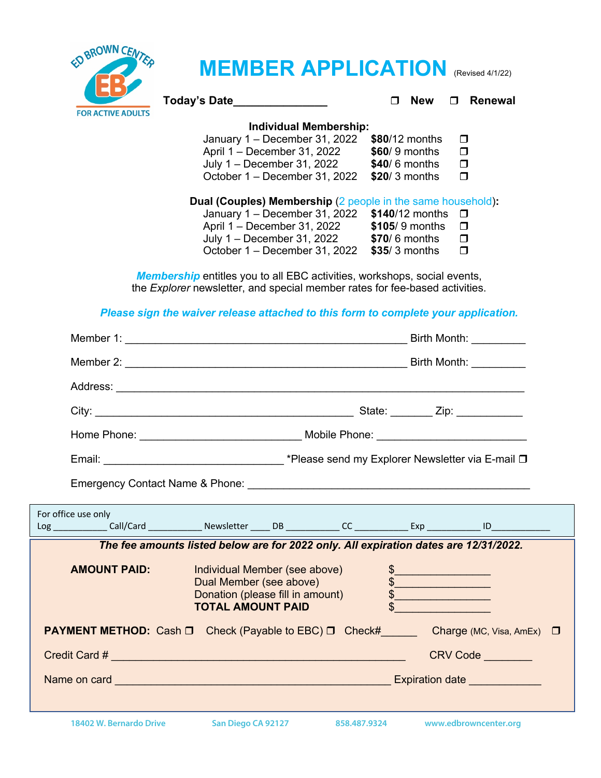

**MEMBER APPLICATION** (Revised 4/1/22)

**Today's Date\_\_\_\_\_\_\_\_\_\_\_\_\_\_\_** r **New** r **Renewal**

## **Individual Membership:**

| January 1 – December 31, 2022 | $$80/12$ months | $\Box$ |
|-------------------------------|-----------------|--------|
| April 1 – December 31, 2022   | $$60/9$ months  | $\Box$ |
| July 1 – December 31, 2022    | $$40/6$ months  | $\Box$ |
| October 1 – December 31, 2022 | $$20/3$ months  | $\Box$ |

**Dual (Couples) Membership** (2 people in the same household)**:**

| $$140/12$ months $\square$ |        |
|----------------------------|--------|
| $$105/9$ months $\square$  |        |
| $$70/6$ months             | $\Box$ |
| $$35/3$ months             | $\Box$ |
|                            |        |

*Membership* entitles you to all EBC activities, workshops, social events, the *Explorer* newsletter, and special member rates for fee-based activities.

*Please sign the waiver release attached to this form to complete your application.*

| For office use only                                                                     |                                                                                                                                                                             |  |              |  |                       |  |
|-----------------------------------------------------------------------------------------|-----------------------------------------------------------------------------------------------------------------------------------------------------------------------------|--|--------------|--|-----------------------|--|
| The fee amounts listed below are for 2022 only. All expiration dates are 12/31/2022.    |                                                                                                                                                                             |  |              |  |                       |  |
| <b>AMOUNT PAID:</b>                                                                     | Individual Member (see above)<br>$\frac{1}{2}$<br>$\frac{1}{2}$<br>Dual Member (see above)<br>$\frac{1}{2}$<br>Donation (please fill in amount)<br><b>TOTAL AMOUNT PAID</b> |  |              |  |                       |  |
| <b>PAYMENT METHOD:</b> Cash □ Check (Payable to EBC) □ Check# Charge (MC, Visa, AmEx) □ |                                                                                                                                                                             |  |              |  |                       |  |
|                                                                                         |                                                                                                                                                                             |  |              |  | CRV Code              |  |
|                                                                                         |                                                                                                                                                                             |  |              |  |                       |  |
| 18402 W. Bernardo Drive                                                                 | San Diego CA 92127                                                                                                                                                          |  | 858.487.9324 |  | www.edbrowncenter.org |  |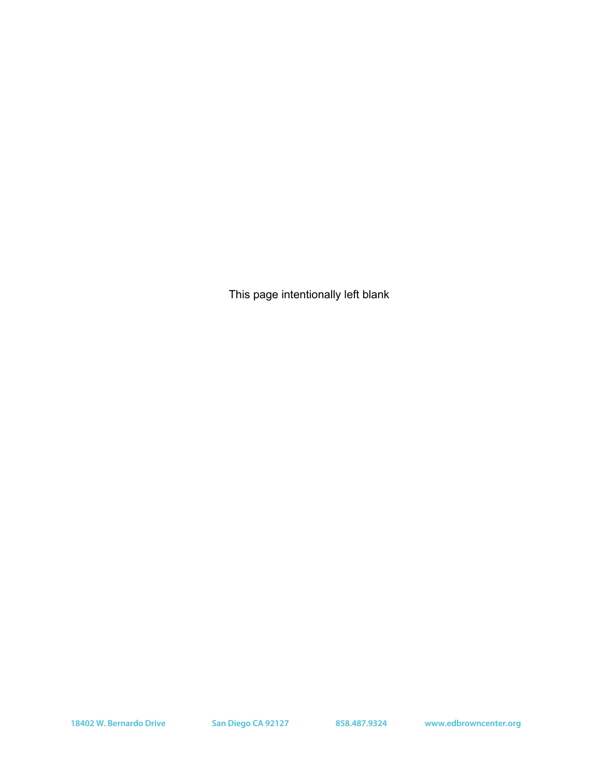This page intentionally left blank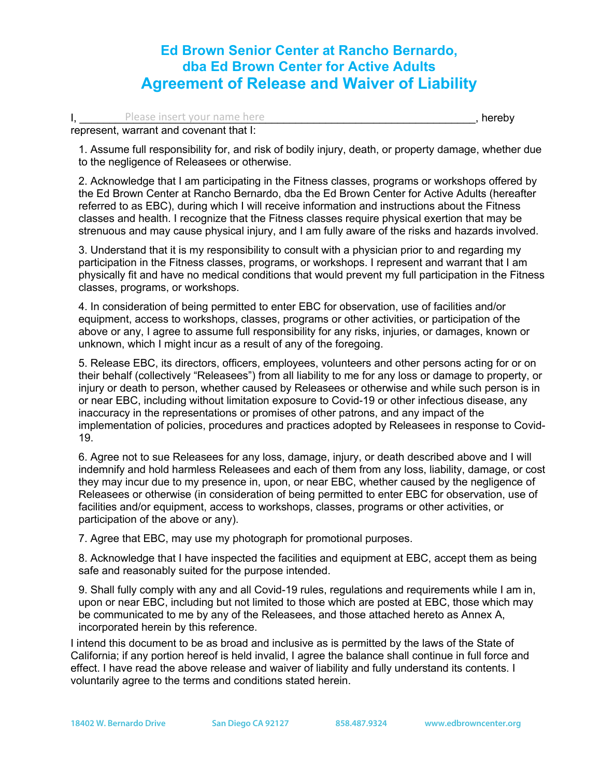## **Ed Brown Senior Center at Rancho Bernardo, dba Ed Brown Center for Active Adults Agreement of Release and Waiver of Liability**

I, Please insert your name here **Example 20 and 20 and 20 and 20 and 20 and 20 and 20 and 20 and 20 and 20 and 20 and 20 and 20 and 20 and 20 and 20 and 20 and 20 and 20 and 20 and 20 and 20 and 20 and 20 and 20 and 20 and** 

represent, warrant and covenant that I:

1. Assume full responsibility for, and risk of bodily injury, death, or property damage, whether due to the negligence of Releasees or otherwise.

2. Acknowledge that I am participating in the Fitness classes, programs or workshops offered by the Ed Brown Center at Rancho Bernardo, dba the Ed Brown Center for Active Adults (hereafter referred to as EBC), during which I will receive information and instructions about the Fitness classes and health. I recognize that the Fitness classes require physical exertion that may be strenuous and may cause physical injury, and I am fully aware of the risks and hazards involved.

3. Understand that it is my responsibility to consult with a physician prior to and regarding my participation in the Fitness classes, programs, or workshops. I represent and warrant that I am physically fit and have no medical conditions that would prevent my full participation in the Fitness classes, programs, or workshops.

4. In consideration of being permitted to enter EBC for observation, use of facilities and/or equipment, access to workshops, classes, programs or other activities, or participation of the above or any, I agree to assume full responsibility for any risks, injuries, or damages, known or unknown, which I might incur as a result of any of the foregoing.

5. Release EBC, its directors, officers, employees, volunteers and other persons acting for or on their behalf (collectively "Releasees") from all liability to me for any loss or damage to property, or injury or death to person, whether caused by Releasees or otherwise and while such person is in or near EBC, including without limitation exposure to Covid-19 or other infectious disease, any inaccuracy in the representations or promises of other patrons, and any impact of the implementation of policies, procedures and practices adopted by Releasees in response to Covid-19.

6. Agree not to sue Releasees for any loss, damage, injury, or death described above and I will indemnify and hold harmless Releasees and each of them from any loss, liability, damage, or cost they may incur due to my presence in, upon, or near EBC, whether caused by the negligence of Releasees or otherwise (in consideration of being permitted to enter EBC for observation, use of facilities and/or equipment, access to workshops, classes, programs or other activities, or participation of the above or any).

7. Agree that EBC, may use my photograph for promotional purposes.

8. Acknowledge that I have inspected the facilities and equipment at EBC, accept them as being safe and reasonably suited for the purpose intended.

9. Shall fully comply with any and all Covid-19 rules, regulations and requirements while I am in, upon or near EBC, including but not limited to those which are posted at EBC, those which may be communicated to me by any of the Releasees, and those attached hereto as Annex A, incorporated herein by this reference.

I intend this document to be as broad and inclusive as is permitted by the laws of the State of California; if any portion hereof is held invalid, I agree the balance shall continue in full force and effect. I have read the above release and waiver of liability and fully understand its contents. I voluntarily agree to the terms and conditions stated herein.